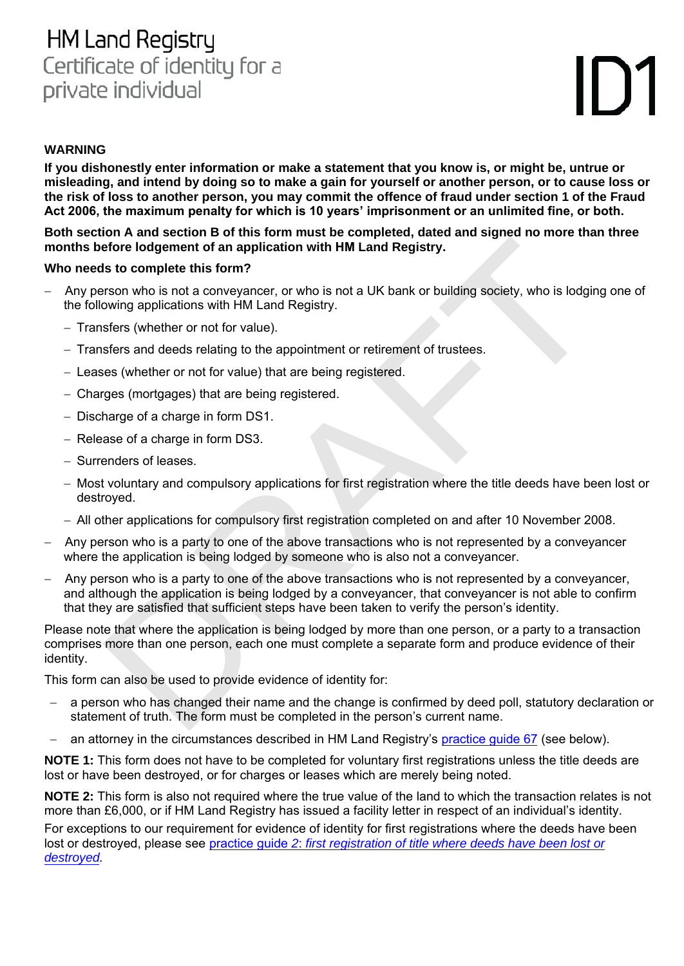## **HM Land Registry** Certificate of identity for a private individual

# II )`

#### **WARNING**

**If you dishonestly enter information or make a statement that you know is, or might be, untrue or misleading, and intend by doing so to make a gain for yourself or another person, or to cause loss or the risk of loss to another person, you may commit the offence of fraud under section 1 of the Fraud Act 2006, the maximum penalty for which is 10 years' imprisonment or an unlimited fine, or both.**

**Both section A and section B of this form must be completed, dated and signed no more than three months before lodgement of an application with HM Land Registry.**

#### **Who needs to complete this form?**

- Any person who is not a conveyancer, or who is not a UK bank or building society, who is lodging one of the following applications with HM Land Registry.
	- Transfers (whether or not for value).
	- Transfers and deeds relating to the appointment or retirement of trustees.
	- Leases (whether or not for value) that are being registered.
	- Charges (mortgages) that are being registered.
	- $-$  Discharge of a charge in form DS1.
	- Release of a charge in form DS3.
	- Surrenders of leases.
	- Most voluntary and compulsory applications for first registration where the title deeds have been lost or destroyed.
	- All other applications for compulsory first registration completed on and after 10 November 2008.
- Any person who is a party to one of the above transactions who is not represented by a conveyancer where the application is being lodged by someone who is also not a conveyancer.
- to a ready section in or this form intracts to completed, carea and signed no more that<br>defore lodgement of an application with HM Land Registry.<br>St of complete this form?<br>St of complete this form?<br>the is not a conveyance, Any person who is a party to one of the above transactions who is not represented by a conveyancer, and although the application is being lodged by a conveyancer, that conveyancer is not able to confirm that they are satisfied that sufficient steps have been taken to verify the person's identity.

Please note that where the application is being lodged by more than one person, or a party to a transaction comprises more than one person, each one must complete a separate form and produce evidence of their identity.

This form can also be used to provide evidence of identity for:

- a person who has changed their name and the change is confirmed by deed poll, statutory declaration or statement of truth. The form must be completed in the person's current name.
- an attorney in the circumstances described in HM Land Registry's [practice guide](https://www.gov.uk/government/publications/evidence-of-identity-conveyancers) 67 (see below).

**NOTE 1:** This form does not have to be completed for voluntary first registrations unless the title deeds are lost or have been destroyed, or for charges or leases which are merely being noted.

**NOTE 2:** This form is also not required where the true value of the land to which the transaction relates is not more than £6,000, or if HM Land Registry has issued a facility letter in respect of an individual's identity. For exceptions to our requirement for evidence of identity for first registrations where the deeds have been

lost or destroyed, please see practice guide *2*: *[first registration of title where deeds have been lost or](https://www.gov.uk/government/publications/first-registration-of-title-where-deeds-have-been-lost-or-destroyed) [destroyed.](https://www.gov.uk/government/publications/first-registration-of-title-where-deeds-have-been-lost-or-destroyed)*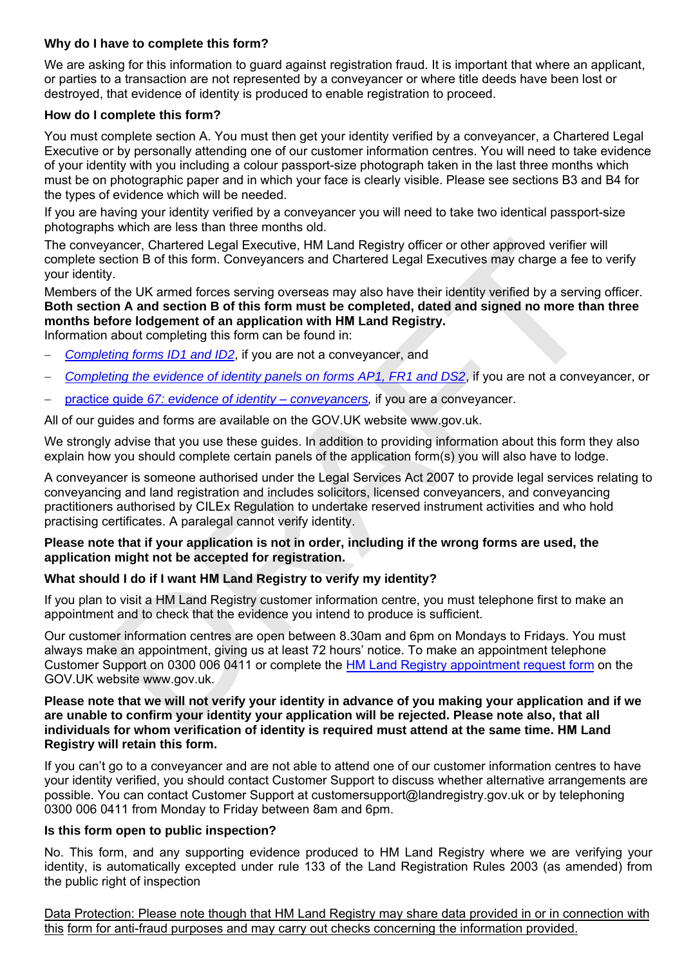#### **Why do I have to complete this form?**

We are asking for this information to guard against registration fraud. It is important that where an applicant, or parties to a transaction are not represented by a conveyancer or where title deeds have been lost or destroyed, that evidence of identity is produced to enable registration to proceed.

#### **How do I complete this form?**

You must complete section A. You must then get your identity verified by a conveyancer, a Chartered Legal Executive or by personally attending one of our customer information centres. You will need to take evidence of your identity with you including a colour passport-size photograph taken in the last three months which must be on photographic paper and in which your face is clearly visible. Please see sections B3 and B4 for the types of evidence which will be needed.

If you are having your identity verified by a conveyancer you will need to take two identical passport-size photographs which are less than three months old.

The conveyancer, Chartered Legal Executive, HM Land Registry officer or other approved verifier will complete section B of this form. Conveyancers and Chartered Legal Executives may charge a fee to verify your identity.

Members of the UK armed forces serving overseas may also have their identity verified by a serving officer. **Both section A and section B of this form must be completed, dated and signed no more than three months before lodgement of an application with HM Land Registry.**  Information about completing this form can be found in:

- *Completing forms ID1 and ID2*, if you are not a conveyancer, and
- *Completing the evidence of identity panels on forms AP1, FR1 and DS2*, if you are not a conveyancer, or
- practice guide *67: evidence of identity – conveyancers,* if you are a conveyancer.

All of our guides and forms are available on the GOV.UK website www.gov.uk.

We strongly advise that you use these guides. In addition to providing information about this form they also explain how you should complete certain panels of the application form(s) you will also have to lodge.

eyancer, Chartered Legal Executive, HM Land Registry officer or other approved verifier w<br>section B of this form. Conveyancers and Chartered Legal Executives may charge a fee to<br>sty.<br>The div.<br>The div. The med forces servin A conveyancer is someone authorised under the Legal Services Act 2007 to provide legal services relating to conveyancing and land registration and includes solicitors, licensed conveyancers, and conveyancing practitioners authorised by CILEx Regulation to undertake reserved instrument activities and who hold practising certificates. A paralegal cannot verify identity.

#### **Please note that if your application is not in order, including if the wrong forms are used, the application might not be accepted for registration.**

#### **What should I do if I want HM Land Registry to verify my identity?**

If you plan to visit a HM Land Registry customer information centre, you must telephone first to make an appointment and to check that the evidence you intend to produce is sufficient.

Our customer information centres are open between 8.30am and 6pm on Mondays to Fridays. You must always make an appointment, giving us at least 72 hours' notice. To make an appointment telephone Customer Support on 0300 006 0411 or complete the HM Land Registry appointment request form on the GOV.UK website www.gov.uk.

**Please note that we will not verify your identity in advance of you making your application and if we are unable to confirm your identity your application will be rejected. Please note also, that all individuals for whom verification of identity is required must attend at the same time. HM Land Registry will retain this form.**

If you can't go to a conveyancer and are not able to attend one of our customer information centres to have your identity verified, you should contact Customer Support to discuss whether alternative arrangements are possible. You can contact Customer Support at customersupport@landregistry.gov.uk or by telephoning 0300 006 0411 from Monday to Friday between 8am and 6pm.

#### **Is this form open to public inspection?**

No. This form, and any supporting evidence produced to HM Land Registry where we are verifying your identity, is automatically excepted under rule 133 of the Land Registration Rules 2003 (as amended) from the public right of inspection

Data Protection: Please note though that HM Land Registry may share data provided in or in connection with this form for anti-fraud purposes and may carry out checks concerning the information provided.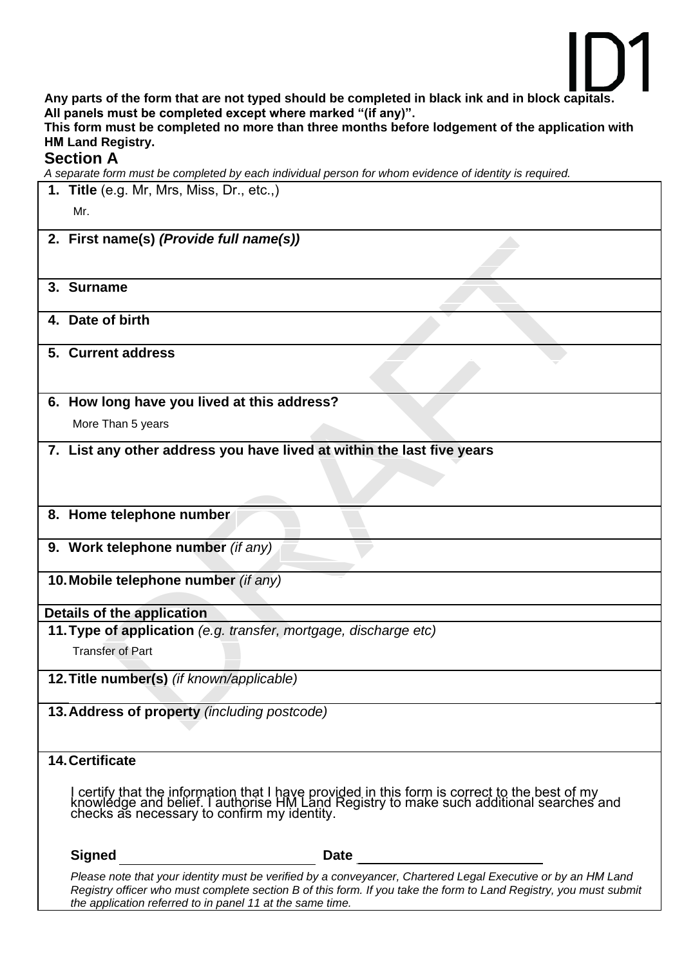

**Any parts of the form that are not typed should be completed in black ink and in block capitals. All panels must be completed except where marked "(if any)".**

**This form must be completed no more than three months before lodgement of the application with HM Land Registry.** 

#### **Section A**

*A separate form must be completed by each individual person for whom evidence of identity is required.* 

|                                                                  | 1. Title (e.g. Mr, Mrs, Miss, Dr., etc.,)                                                                                                                                                                                            |  |  |  |
|------------------------------------------------------------------|--------------------------------------------------------------------------------------------------------------------------------------------------------------------------------------------------------------------------------------|--|--|--|
|                                                                  | Mr.                                                                                                                                                                                                                                  |  |  |  |
|                                                                  | 2. First name(s) (Provide full name(s))                                                                                                                                                                                              |  |  |  |
|                                                                  |                                                                                                                                                                                                                                      |  |  |  |
|                                                                  |                                                                                                                                                                                                                                      |  |  |  |
|                                                                  | 3. Surname                                                                                                                                                                                                                           |  |  |  |
|                                                                  | 4. Date of birth                                                                                                                                                                                                                     |  |  |  |
|                                                                  | 5. Current address                                                                                                                                                                                                                   |  |  |  |
|                                                                  | 6. How long have you lived at this address?                                                                                                                                                                                          |  |  |  |
|                                                                  | More Than 5 years                                                                                                                                                                                                                    |  |  |  |
|                                                                  | 7. List any other address you have lived at within the last five years                                                                                                                                                               |  |  |  |
|                                                                  |                                                                                                                                                                                                                                      |  |  |  |
|                                                                  |                                                                                                                                                                                                                                      |  |  |  |
|                                                                  | 8. Home telephone number                                                                                                                                                                                                             |  |  |  |
|                                                                  | 9. Work telephone number (if any)                                                                                                                                                                                                    |  |  |  |
| 10. Mobile telephone number (if any)                             |                                                                                                                                                                                                                                      |  |  |  |
|                                                                  | Details of the application                                                                                                                                                                                                           |  |  |  |
| 11. Type of application (e.g. transfer, mortgage, discharge etc) |                                                                                                                                                                                                                                      |  |  |  |
|                                                                  | <b>Transfer of Part</b>                                                                                                                                                                                                              |  |  |  |
|                                                                  | 12. Title number(s) (if known/applicable)                                                                                                                                                                                            |  |  |  |
| 13. Address of property (including postcode)                     |                                                                                                                                                                                                                                      |  |  |  |
|                                                                  | <b>14. Certificate</b>                                                                                                                                                                                                               |  |  |  |
|                                                                  | I certify that the information that I have provided in this form is correct to the best of my<br>knowledge and belief. I authorise HM Land Registry to make such additional searches and<br>checks as necessary to confirm my identi |  |  |  |
|                                                                  | <b>Signed</b><br><b>Date</b>                                                                                                                                                                                                         |  |  |  |
|                                                                  | Please note that your identity must be verified by a conveyancer, Chartered Legal Executive or by an HM Land<br>Registry officer who must complete section B of this form. If you take the form to Land Registry, you must submit    |  |  |  |

*the application referred to in panel 11 at the same time.*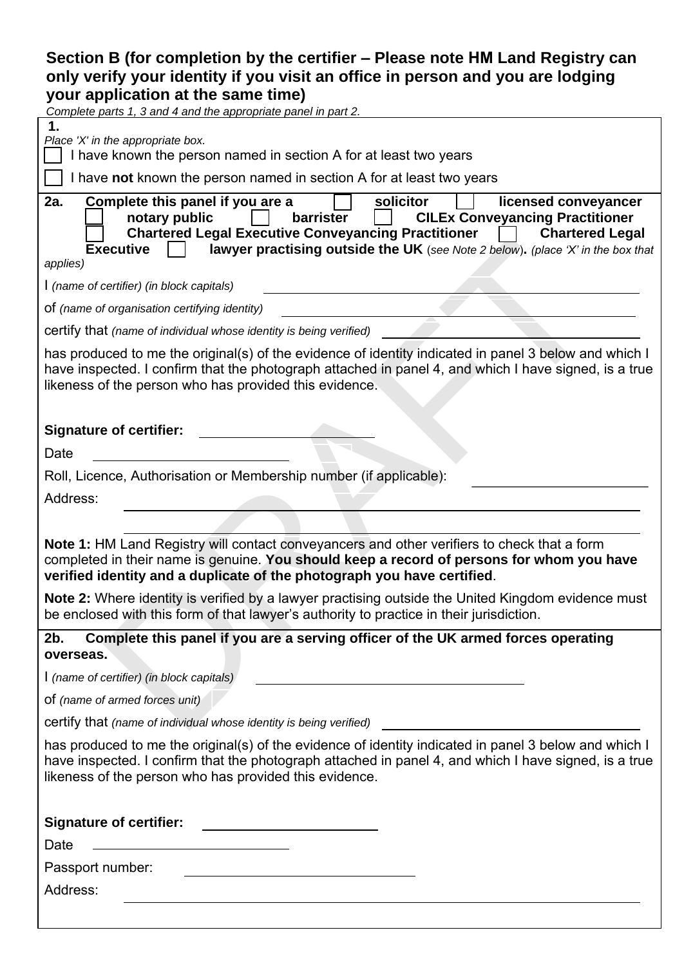### **Section B (for completion by the certifier – Please note HM Land Registry can only verify your identity if you visit an office in person and you are lodging your application at the same time)**

| Complete parts 1, 3 and 4 and the appropriate panel in part 2.                                                                                                                                                                                                                                                                                                  |
|-----------------------------------------------------------------------------------------------------------------------------------------------------------------------------------------------------------------------------------------------------------------------------------------------------------------------------------------------------------------|
| Place 'X' in the appropriate box.<br>I have known the person named in section A for at least two years                                                                                                                                                                                                                                                          |
| I have not known the person named in section A for at least two years                                                                                                                                                                                                                                                                                           |
| 2a.<br>Complete this panel if you are a<br>solicitor<br>licensed conveyancer<br>notary public<br>barrister<br><b>CILEx Conveyancing Practitioner</b><br><b>Chartered Legal Executive Conveyancing Practitioner</b><br><b>Chartered Legal</b><br>lawyer practising outside the UK (see Note 2 below). (place 'X' in the box that<br><b>Executive</b><br>applies) |
| I (name of certifier) (in block capitals)                                                                                                                                                                                                                                                                                                                       |
| of (name of organisation certifying identity)                                                                                                                                                                                                                                                                                                                   |
| certify that (name of individual whose identity is being verified)                                                                                                                                                                                                                                                                                              |
| has produced to me the original(s) of the evidence of identity indicated in panel 3 below and which I<br>have inspected. I confirm that the photograph attached in panel 4, and which I have signed, is a true<br>likeness of the person who has provided this evidence.                                                                                        |
| <b>Signature of certifier:</b>                                                                                                                                                                                                                                                                                                                                  |
| Date                                                                                                                                                                                                                                                                                                                                                            |
| Roll, Licence, Authorisation or Membership number (if applicable):                                                                                                                                                                                                                                                                                              |
| Address:                                                                                                                                                                                                                                                                                                                                                        |
|                                                                                                                                                                                                                                                                                                                                                                 |
| Note 1: HM Land Registry will contact conveyancers and other verifiers to check that a form<br>completed in their name is genuine. You should keep a record of persons for whom you have<br>verified identity and a duplicate of the photograph you have certified.                                                                                             |
| Note 2: Where identity is verified by a lawyer practising outside the United Kingdom evidence must<br>be enclosed with this form of that lawyer's authority to practice in their jurisdiction.                                                                                                                                                                  |
| 2b.<br>Complete this panel if you are a serving officer of the UK armed forces operating<br>overseas.                                                                                                                                                                                                                                                           |
| I (name of certifier) (in block capitals)<br><u> 1989 - Johann Barn, mars eta bainar eta bainar eta baina eta baina eta baina eta baina eta baina eta baina e</u>                                                                                                                                                                                               |
| of (name of armed forces unit)                                                                                                                                                                                                                                                                                                                                  |
| certify that (name of individual whose identity is being verified)                                                                                                                                                                                                                                                                                              |
| has produced to me the original(s) of the evidence of identity indicated in panel 3 below and which I<br>have inspected. I confirm that the photograph attached in panel 4, and which I have signed, is a true<br>likeness of the person who has provided this evidence.                                                                                        |
| <b>Signature of certifier:</b>                                                                                                                                                                                                                                                                                                                                  |
| Date                                                                                                                                                                                                                                                                                                                                                            |
| Passport number:                                                                                                                                                                                                                                                                                                                                                |
| Address:                                                                                                                                                                                                                                                                                                                                                        |